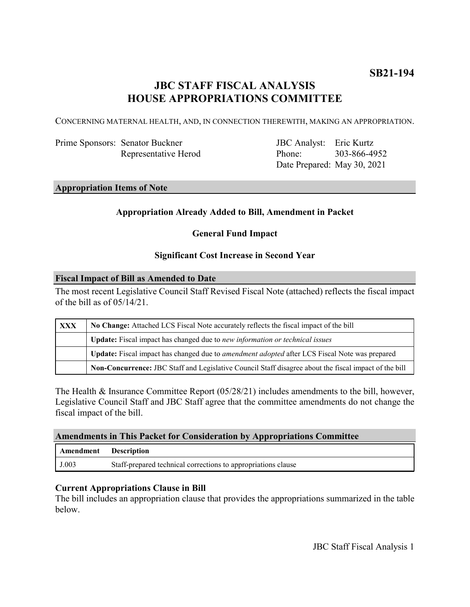# **JBC STAFF FISCAL ANALYSIS HOUSE APPROPRIATIONS COMMITTEE**

CONCERNING MATERNAL HEALTH, AND, IN CONNECTION THEREWITH, MAKING AN APPROPRIATION.

| Prime Sponsors: Senator Buckner |  |  |
|---------------------------------|--|--|
| Representative Herod            |  |  |

JBC Analyst: Eric Kurtz Phone: Date Prepared: May 30, 2021 303-866-4952

# **Appropriation Items of Note**

# **Appropriation Already Added to Bill, Amendment in Packet**

# **General Fund Impact**

## **Significant Cost Increase in Second Year**

#### **Fiscal Impact of Bill as Amended to Date**

The most recent Legislative Council Staff Revised Fiscal Note (attached) reflects the fiscal impact of the bill as of 05/14/21.

| <b>XXX</b> | No Change: Attached LCS Fiscal Note accurately reflects the fiscal impact of the bill                 |  |  |  |
|------------|-------------------------------------------------------------------------------------------------------|--|--|--|
|            | Update: Fiscal impact has changed due to new information or technical issues                          |  |  |  |
|            | Update: Fiscal impact has changed due to <i>amendment adopted</i> after LCS Fiscal Note was prepared  |  |  |  |
|            | Non-Concurrence: JBC Staff and Legislative Council Staff disagree about the fiscal impact of the bill |  |  |  |

The Health & Insurance Committee Report (05/28/21) includes amendments to the bill, however, Legislative Council Staff and JBC Staff agree that the committee amendments do not change the fiscal impact of the bill.

### **Amendments in This Packet for Consideration by Appropriations Committee**

| <b>Amendment</b> Description |                                                               |
|------------------------------|---------------------------------------------------------------|
| J.003                        | Staff-prepared technical corrections to appropriations clause |

# **Current Appropriations Clause in Bill**

The bill includes an appropriation clause that provides the appropriations summarized in the table below.